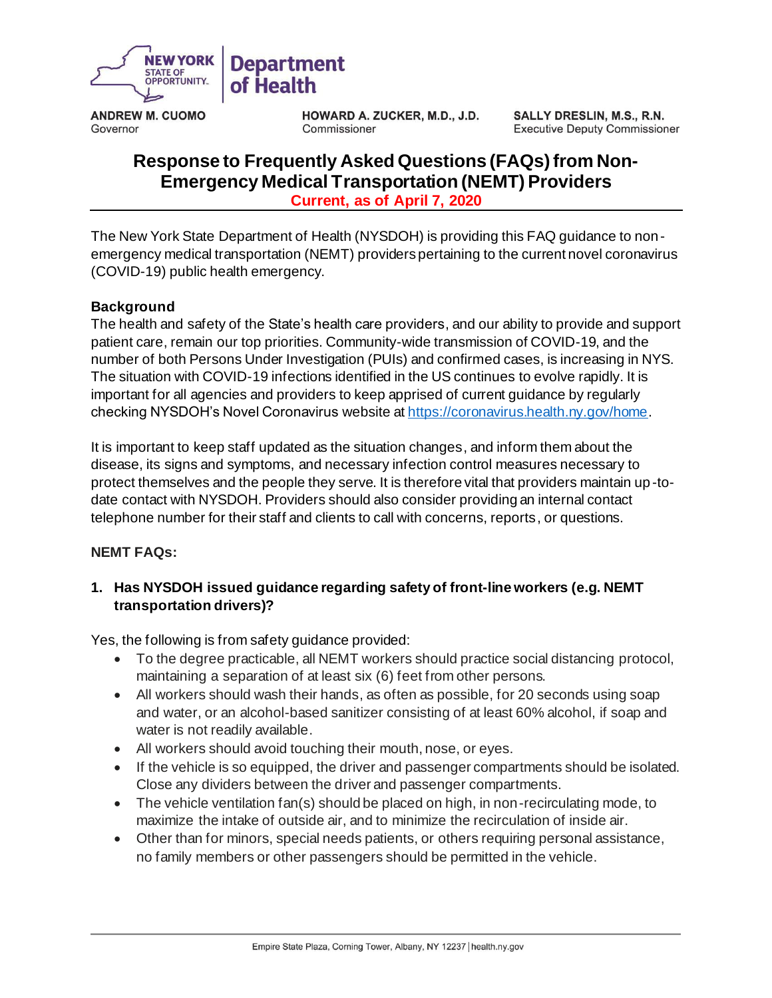

**ANDREW M. CUOMO**  Governor

**HOWARD A. ZUCKER, M.D., J.D.**  Commissioner

**SALLY DRESLIN, M.S., R.N.**  Executive Deputy Commissioner

# **Current, as of April 7, 2020 Response to Frequently Asked Questions (FAQs) from Non-Emergency Medical Transportation (NEMT) Providers**

 The New York State Department of Health (NYSDOH) is providing this FAQ guidance to non - emergency medical transportation (NEMT) providers pertaining to the current novel coronavirus (COVID-19) public health emergency.

#### **Background**

 The health and safety of the State's health care providers, and our ability to provide and support patient care, remain our top priorities. Community-wide transmission of COVID-19, and the number of both Persons Under Investigation (PUIs) and confirmed cases, is increasing in NYS. The situation with COVID-19 infections identified in the US continues to evolve rapidly. It is important for all agencies and providers to keep apprised of current guidance by regularly checking NYSDOH's Novel Coronavirus website a[t https://coronavirus.health.ny.gov/home](about:blank).

 It is important to keep staff updated as the situation changes, and inform them about the disease, its signs and symptoms, and necessary infection control measures necessary to protect themselves and the people they serve. It is therefore vital that providers maintain up -to- date contact with NYSDOH. Providers should also consider providing an internal contact telephone number for their staff and clients to call with concerns, reports, or questions.

#### **NEMT FAQs:**

# **1. Has NYSDOH issued guidance regarding safety of front-line workers (e.g. NEMT transportation drivers)?**

Yes, the following is from safety guidance provided:

- • To the degree practicable, all NEMT workers should practice social distancing protocol, maintaining a separation of at least six (6) feet from other persons.
- • All workers should wash their hands, as often as possible, for 20 seconds using soap and water, or an alcohol-based sanitizer consisting of at least 60% alcohol, if soap and water is not readily available.
- All workers should avoid touching their mouth, nose, or eyes.
- • If the vehicle is so equipped, the driver and passenger compartments should be isolated. Close any dividers between the driver and passenger compartments.
- • The vehicle ventilation fan(s) should be placed on high, in non-recirculating mode, to maximize the intake of outside air, and to minimize the recirculation of inside air.
- • Other than for minors, special needs patients, or others requiring personal assistance, no family members or other passengers should be permitted in the vehicle.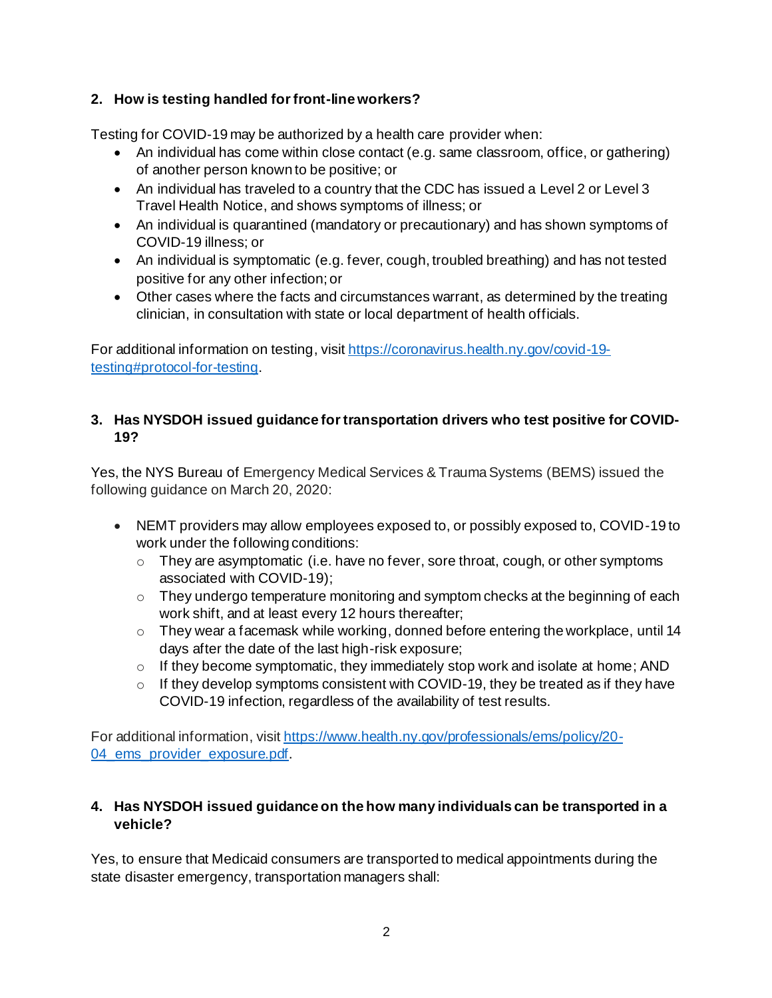# **2. How is testing handled for front-line workers?**

Testing for COVID-19 may be authorized by a health care provider when:

- An individual has come within close contact (e.g. same classroom, office, or gathering) of another person known to be positive; or
- • An individual has traveled to a country that the CDC has issued a Level 2 or Level 3 Travel Health Notice, and shows symptoms of illness; or
- • An individual is quarantined (mandatory or precautionary) and has shown symptoms of COVID-19 illness; or
- • An individual is symptomatic (e.g. fever, cough, troubled breathing) and has not tested positive for any other infection; or
- • Other cases where the facts and circumstances warrant, as determined by the treating clinician, in consultation with state or local department of health officials.

For additional information on testing, visi[t https://coronavirus.health.ny.gov/covid-19](https://coronavirus.health.ny.gov/covid-19-testing#protocol-for-testing) [testing#protocol-for-testing](https://coronavirus.health.ny.gov/covid-19-testing#protocol-for-testing).

#### **3. Has NYSDOH issued guidance for transportation drivers who test positive for COVID-19?**

 Yes, the NYS Bureau of Emergency Medical Services & Trauma Systems (BEMS) issued the following guidance on March 20, 2020:

- • NEMT providers may allow employees exposed to, or possibly exposed to, COVID-19 to work under the following conditions:
	- $\circ$  They are asymptomatic (i.e. have no fever, sore throat, cough, or other symptoms associated with COVID-19);
	- $\circ$  They undergo temperature monitoring and symptom checks at the beginning of each work shift, and at least every 12 hours thereafter;
	- $\circ$  They wear a facemask while working, donned before entering the workplace, until 14 days after the date of the last high-risk exposure;
	- $\circ$  If they become symptomatic, they immediately stop work and isolate at home; AND
	- $\circ$  If they develop symptoms consistent with COVID-19, they be treated as if they have COVID-19 infection, regardless of the availability of test results.

For additional information, visi[t https://www.health.ny.gov/professionals/ems/policy/20-](https://www.health.ny.gov/professionals/ems/policy/20-04_ems_provider_exposure.pdf) 04 ems provider exposure.pdf.

# **4. Has NYSDOH issued guidance on the how many individuals can be transported in a vehicle?**

 Yes, to ensure that Medicaid consumers are transported to medical appointments during the state disaster emergency, transportation managers shall: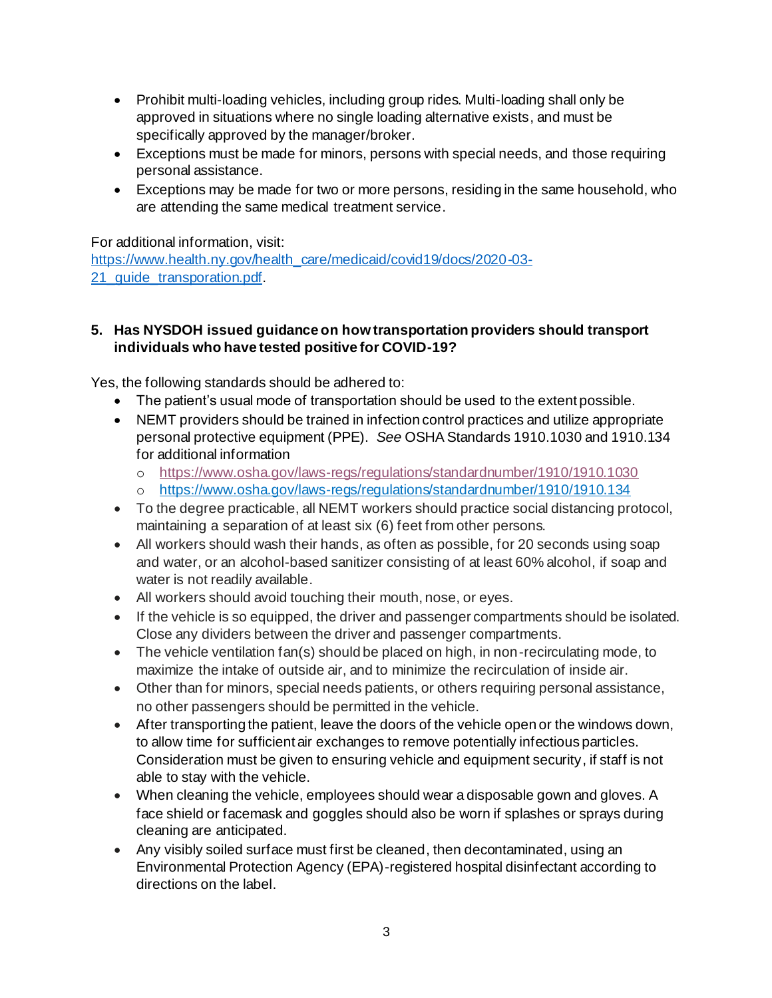- • Prohibit multi-loading vehicles, including group rides. Multi-loading shall only be approved in situations where no single loading alternative exists, and must be specifically approved by the manager/broker.
- • Exceptions must be made for minors, persons with special needs, and those requiring personal assistance.
- • Exceptions may be made for two or more persons, residing in the same household, who are attending the same medical treatment service.

For additional information, visit:

[https://www.health.ny.gov/health\\_care/medicaid/covid19/docs/2020-03-](https://www.health.ny.gov/health_care/medicaid/covid19/docs/2020-03-21_guide_transporation.pdf) 21 quide transporation.pdf.

#### **5. Has NYSDOH issued guidance on how transportation providers should transport individuals who have tested positive for COVID-19?**

Yes, the following standards should be adhered to:

- The patient's usual mode of transportation should be used to the extent possible.
- • NEMT providers should be trained in infection control practices and utilize appropriate personal protective equipment (PPE). *See* OSHA Standards 1910.1030 and 1910.134 for additional information
	- o <https://www.osha.gov/laws-regs/regulations/standardnumber/1910/1910.1030>
	- o <https://www.osha.gov/laws-regs/regulations/standardnumber/1910/1910.134>
- • To the degree practicable, all NEMT workers should practice social distancing protocol, maintaining a separation of at least six (6) feet from other persons.
- • All workers should wash their hands, as often as possible, for 20 seconds using soap and water, or an alcohol-based sanitizer consisting of at least 60% alcohol, if soap and water is not readily available.
- All workers should avoid touching their mouth, nose, or eyes.
- • If the vehicle is so equipped, the driver and passenger compartments should be isolated. Close any dividers between the driver and passenger compartments.
- • The vehicle ventilation fan(s) should be placed on high, in non-recirculating mode, to maximize the intake of outside air, and to minimize the recirculation of inside air.
- • Other than for minors, special needs patients, or others requiring personal assistance, no other passengers should be permitted in the vehicle.
- • After transporting the patient, leave the doors of the vehicle open or the windows down, to allow time for sufficient air exchanges to remove potentially infectious particles. Consideration must be given to ensuring vehicle and equipment security, if staff is not able to stay with the vehicle.
- • When cleaning the vehicle, employees should wear a disposable gown and gloves. A face shield or facemask and goggles should also be worn if splashes or sprays during cleaning are anticipated.
- • Any visibly soiled surface must first be cleaned, then decontaminated, using an Environmental Protection Agency (EPA)-registered hospital disinfectant according to directions on the label.